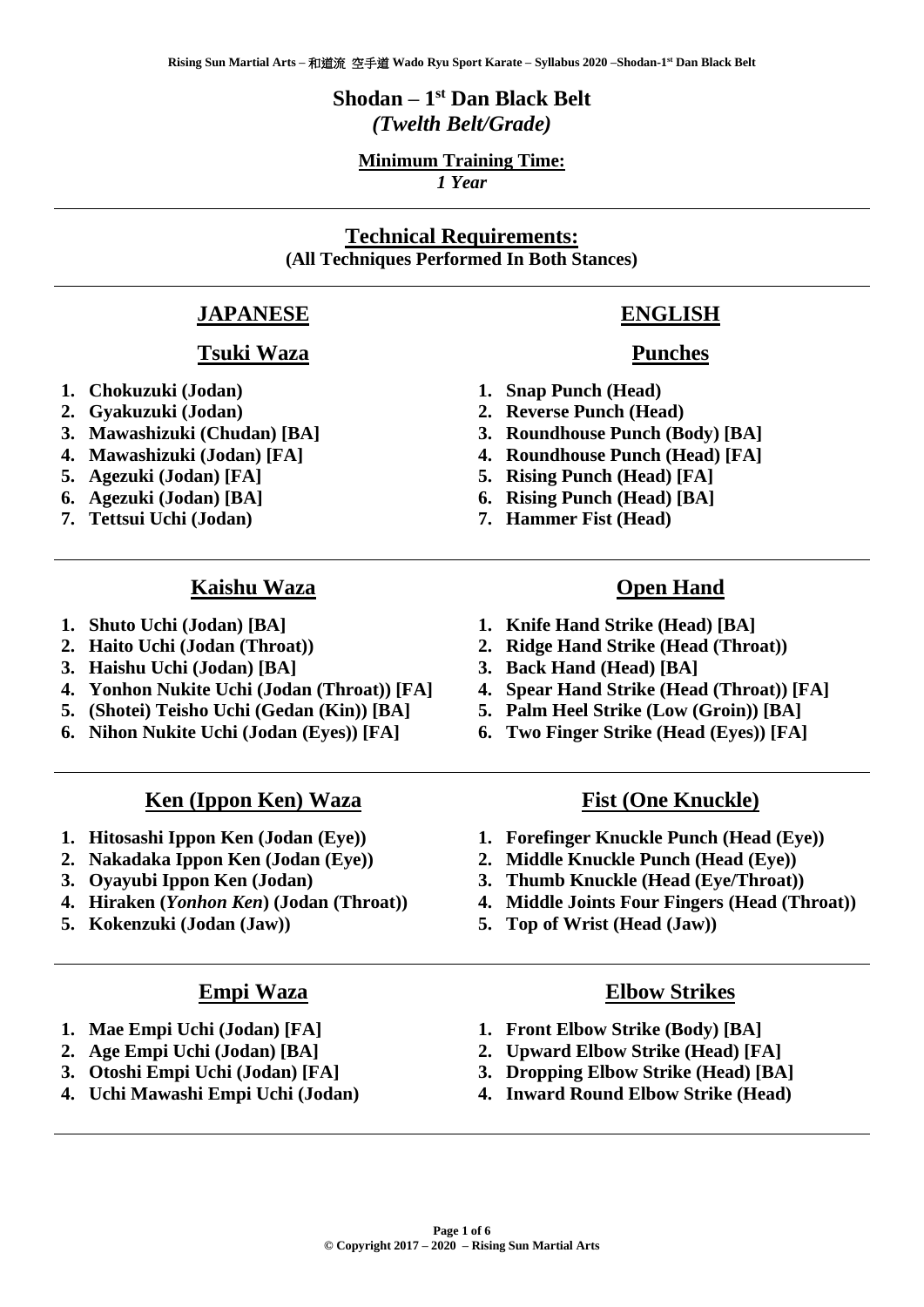# **Shodan – 1 st Dan Black Belt** *(Twelth Belt/Grade)*

### **Minimum Training Time:**

*1 Year*

# **Technical Requirements: (All Techniques Performed In Both Stances)**

# **JAPANESE**

#### **Tsuki Waza**

- **1. Chokuzuki (Jodan)**
- **2. Gyakuzuki (Jodan)**
- **3. Mawashizuki (Chudan) [BA]**
- **4. Mawashizuki (Jodan) [FA]**
- **5. Agezuki (Jodan) [FA]**
- **6. Agezuki (Jodan) [BA]**
- **7. Tettsui Uchi (Jodan)**

#### **Kaishu Waza**

- **1. Shuto Uchi (Jodan) [BA]**
- **2. Haito Uchi (Jodan (Throat))**
- **3. Haishu Uchi (Jodan) [BA]**
- **4. Yonhon Nukite Uchi (Jodan (Throat)) [FA]**
- **5. (Shotei) Teisho Uchi (Gedan (Kin)) [BA]**
- **6. Nihon Nukite Uchi (Jodan (Eyes)) [FA]**

#### **Ken (Ippon Ken) Waza**

- **1. Hitosashi Ippon Ken (Jodan (Eye))**
- **2. Nakadaka Ippon Ken (Jodan (Eye))**
- **3. Oyayubi Ippon Ken (Jodan)**
- **4. Hiraken (***Yonhon Ken***) (Jodan (Throat))**
- **5. Kokenzuki (Jodan (Jaw))**

#### **Empi Waza**

- **1. Mae Empi Uchi (Jodan) [FA]**
- **2. Age Empi Uchi (Jodan) [BA]**
- **3. Otoshi Empi Uchi (Jodan) [FA]**
- **4. Uchi Mawashi Empi Uchi (Jodan)**

### **ENGLISH**

#### **Punches**

- **1. Snap Punch (Head)**
- **2. Reverse Punch (Head)**
- **3. Roundhouse Punch (Body) [BA]**
- **4. Roundhouse Punch (Head) [FA]**
- **5. Rising Punch (Head) [FA]**
- **6. Rising Punch (Head) [BA]**
- **7. Hammer Fist (Head)**

#### **Open Hand**

- **1. Knife Hand Strike (Head) [BA]**
- **2. Ridge Hand Strike (Head (Throat))**
- **3. Back Hand (Head) [BA]**
- **4. Spear Hand Strike (Head (Throat)) [FA]**
- **5. Palm Heel Strike (Low (Groin)) [BA]**
- **6. Two Finger Strike (Head (Eyes)) [FA]**

#### **Fist (One Knuckle)**

- **1. Forefinger Knuckle Punch (Head (Eye))**
- **2. Middle Knuckle Punch (Head (Eye))**
- **3. Thumb Knuckle (Head (Eye/Throat))**
- **4. Middle Joints Four Fingers (Head (Throat))**
- **5. Top of Wrist (Head (Jaw))**

#### **Elbow Strikes**

- **1. Front Elbow Strike (Body) [BA]**
- **2. Upward Elbow Strike (Head) [FA]**
- **3. Dropping Elbow Strike (Head) [BA]**
- **4. Inward Round Elbow Strike (Head)**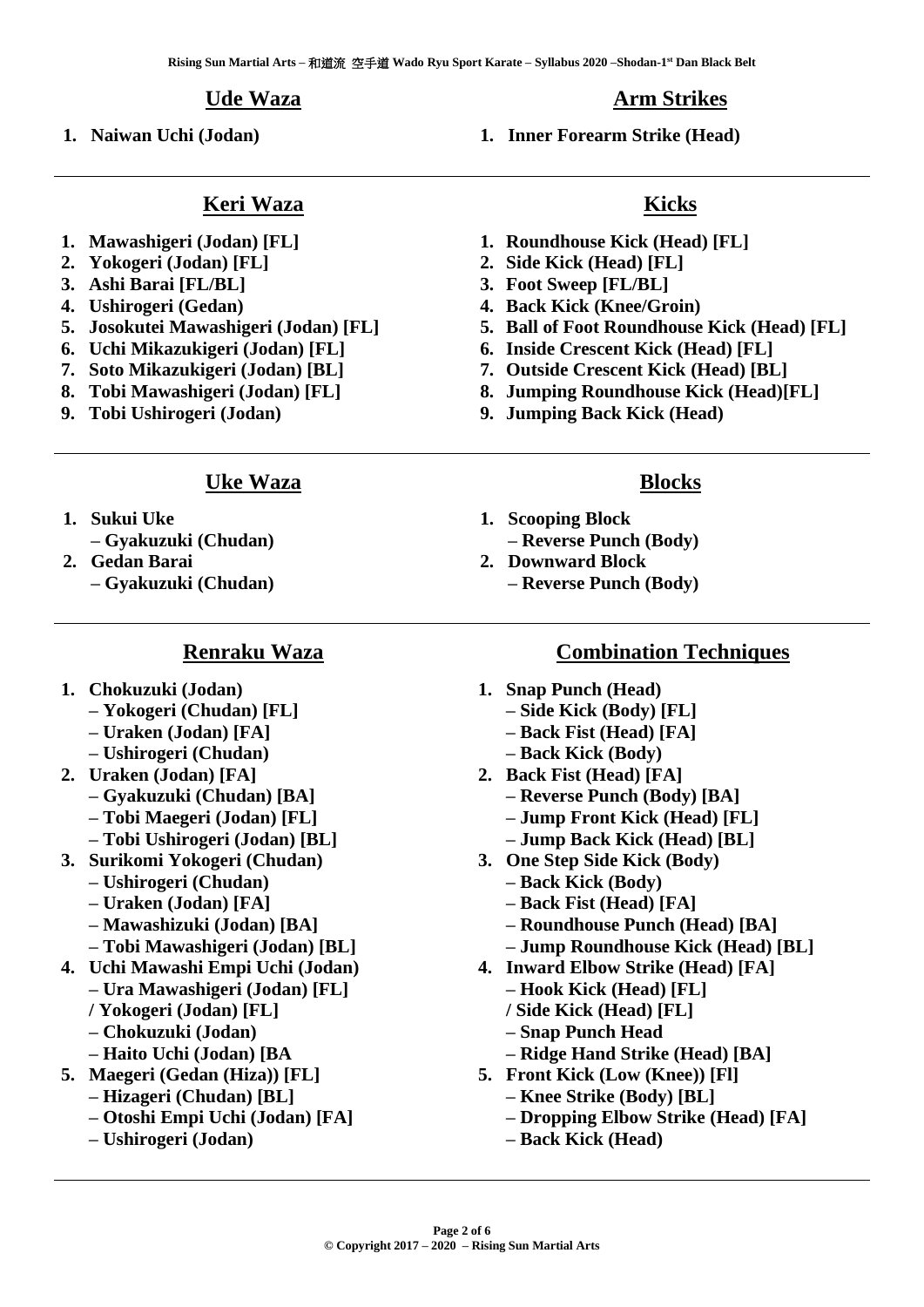#### **Ude Waza**

**Keri Waza**

**1. Naiwan Uchi (Jodan)**

**1. Inner Forearm Strike (Head)**

- **1. Mawashigeri (Jodan) [FL]**
- **2. Yokogeri (Jodan) [FL]**
- **3. Ashi Barai [FL/BL]**
- **4. Ushirogeri (Gedan)**
- **5. Josokutei Mawashigeri (Jodan) [FL]**
- **6. Uchi Mikazukigeri (Jodan) [FL]**
- **7. Soto Mikazukigeri (Jodan) [BL]**
- **8. Tobi Mawashigeri (Jodan) [FL]**
- **9. Tobi Ushirogeri (Jodan)**

#### **Uke Waza**

- **1. Sukui Uke**
- **– Gyakuzuki (Chudan)**
- **2. Gedan Barai**
	- **– Gyakuzuki (Chudan)**

#### **Renraku Waza**

- **1. Chokuzuki (Jodan)**
	- **– Yokogeri (Chudan) [FL]**
	- **– Uraken (Jodan) [FA]**
	- **– Ushirogeri (Chudan)**
- **2. Uraken (Jodan) [FA]**
	- **– Gyakuzuki (Chudan) [BA]**
	- **– Tobi Maegeri (Jodan) [FL]**
	- **– Tobi Ushirogeri (Jodan) [BL]**
- **3. Surikomi Yokogeri (Chudan)** 
	- **– Ushirogeri (Chudan)**
	- **– Uraken (Jodan) [FA]**
	- **– Mawashizuki (Jodan) [BA]**
	- **– Tobi Mawashigeri (Jodan) [BL]**
- **4. Uchi Mawashi Empi Uchi (Jodan) – Ura Mawashigeri (Jodan) [FL]**
	- **/ Yokogeri (Jodan) [FL]**
	- **– Chokuzuki (Jodan)**
	- **– Haito Uchi (Jodan) [BA**
- **5. Maegeri (Gedan (Hiza)) [FL]**
	- **– Hizageri (Chudan) [BL]**
	- **– Otoshi Empi Uchi (Jodan) [FA]**
	- **– Ushirogeri (Jodan)**

# **Kicks**

- **1. Roundhouse Kick (Head) [FL]**
- **2. Side Kick (Head) [FL]**
- **3. Foot Sweep [FL/BL]**
- **4. Back Kick (Knee/Groin)**
- **5. Ball of Foot Roundhouse Kick (Head) [FL]**
- **6. Inside Crescent Kick (Head) [FL]**
- **7. Outside Crescent Kick (Head) [BL]**
- **8. Jumping Roundhouse Kick (Head)[FL]**
- **9. Jumping Back Kick (Head)**

#### **Blocks**

- **1. Scooping Block**
	- **– Reverse Punch (Body)**
- **2. Downward Block**
	- **– Reverse Punch (Body)**

#### **Combination Techniques**

- **1. Snap Punch (Head)**
	- **– Side Kick (Body) [FL]**
	- **– Back Fist (Head) [FA]**
	- **– Back Kick (Body)**
- **2. Back Fist (Head) [FA]**
	- **– Reverse Punch (Body) [BA]**
	- **– Jump Front Kick (Head) [FL]**
	- **– Jump Back Kick (Head) [BL]**
- **3. One Step Side Kick (Body)**
	- **– Back Kick (Body)**
	- **– Back Fist (Head) [FA]**
	- **– Roundhouse Punch (Head) [BA]**
	- **– Jump Roundhouse Kick (Head) [BL]**
- **4. Inward Elbow Strike (Head) [FA]** 
	- **– Hook Kick (Head) [FL]**
	- **/ Side Kick (Head) [FL]**
	- **– Snap Punch Head**
	- **– Ridge Hand Strike (Head) [BA]**
- **5. Front Kick (Low (Knee)) [Fl]**
	- **– Knee Strike (Body) [BL]**
	- **– Dropping Elbow Strike (Head) [FA]**
	- **– Back Kick (Head)**

# **Arm Strikes**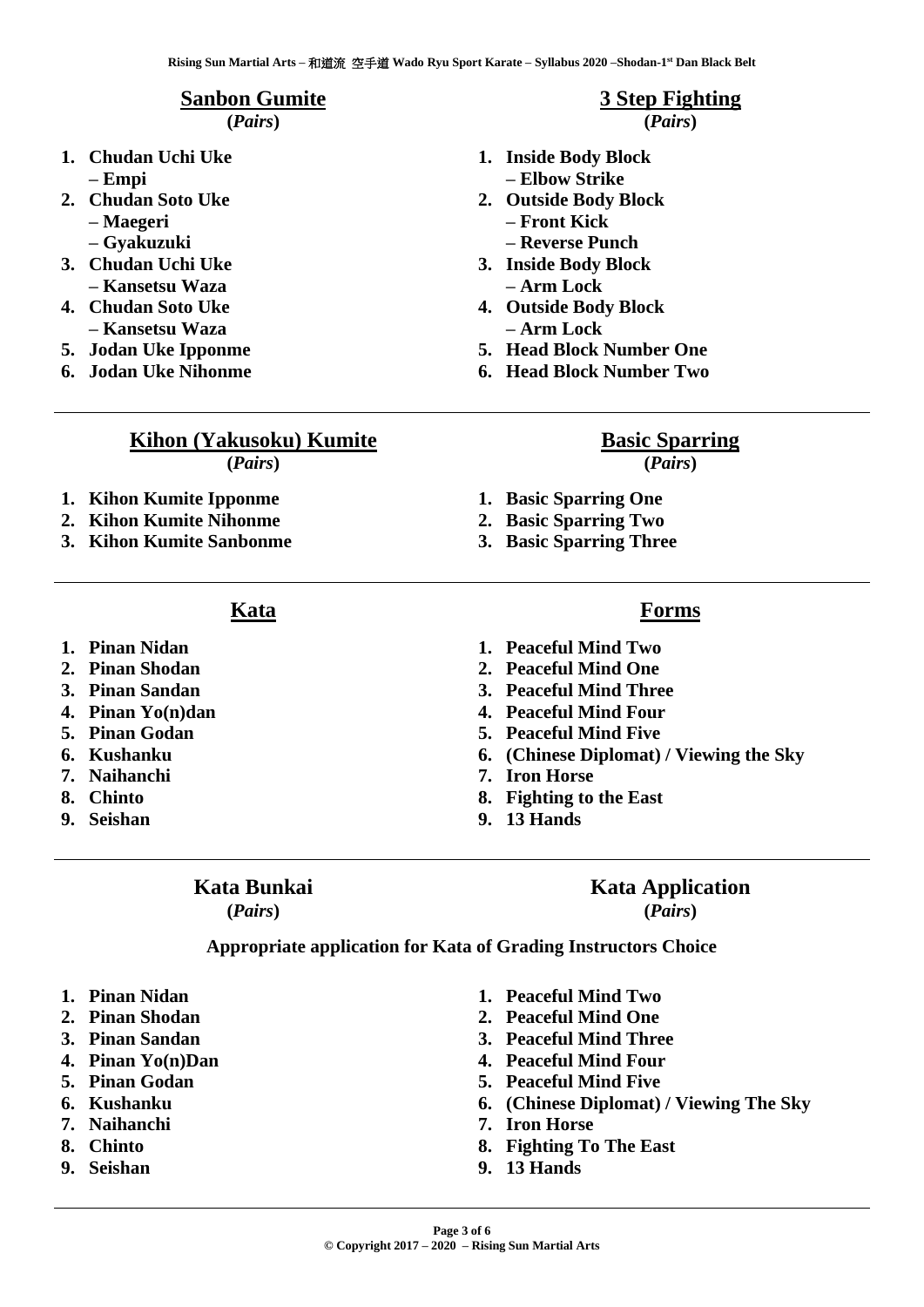#### **Sanbon Gumite**

**(***Pairs***)**

- **1. Chudan Uchi Uke – Empi**
- **2. Chudan Soto Uke** 
	- **– Maegeri**
	- **– Gyakuzuki**
- **3. Chudan Uchi Uke – Kansetsu Waza**
- **4. Chudan Soto Uke – Kansetsu Waza**
- **5. Jodan Uke Ipponme**
- **6. Jodan Uke Nihonme**

# **3 Step Fighting**

#### **(***Pairs***)**

- **1. Inside Body Block – Elbow Strike**
- **2. Outside Body Block** 
	- **– Front Kick**
- **– Reverse Punch 3. Inside Body Block**
- **– Arm Lock**
- **4. Outside Body Block – Arm Lock**
- **5. Head Block Number One**
- **6. Head Block Number Two**

# **Kihon (Yakusoku) Kumite**

**(***Pairs***)**

- **1. Kihon Kumite Ipponme**
- **2. Kihon Kumite Nihonme**
- **3. Kihon Kumite Sanbonme**
	- **Kata**
- **1. Pinan Nidan**
- **2. Pinan Shodan**
- **3. Pinan Sandan**
- **4. Pinan Yo(n)dan**
- **5. Pinan Godan**
- **6. Kushanku**
- **7. Naihanchi**
- **8. Chinto**
- **9. Seishan**

### **Kata Bunkai**

**(***Pairs***)**

- 
- **3. Peaceful Mind Three**
- **4. Peaceful Mind Four**
- **5. Peaceful Mind Five**
- **6. (Chinese Diplomat) / Viewing the Sky**
- 
- **8. Fighting to the East**
- **9. 13 Hands**

# **Kata Application**

**(***Pairs***)**

**Appropriate application for Kata of Grading Instructors Choice**

- **1. Pinan Nidan**
- **2. Pinan Shodan**
- **3. Pinan Sandan**
- **4. Pinan Yo(n)Dan**
- **5. Pinan Godan**
- **6. Kushanku**
- **7. Naihanchi**
- **8. Chinto**
- **9. Seishan**
- **1. Peaceful Mind Two**
- **2. Peaceful Mind One**
- **3. Peaceful Mind Three**
- **4. Peaceful Mind Four**
- **5. Peaceful Mind Five**
- **6. (Chinese Diplomat) / Viewing The Sky**
- **7. Iron Horse**
- **8. Fighting To The East**
- **9. 13 Hands**

# **Basic Sparring**

**(***Pairs***)**

- **1. Basic Sparring One**
- **2. Basic Sparring Two**
- **3. Basic Sparring Three**

## **Forms**

- **1. Peaceful Mind Two**
- **2. Peaceful Mind One**
- 
- 
- 
- 
- **7. Iron Horse**
- 
-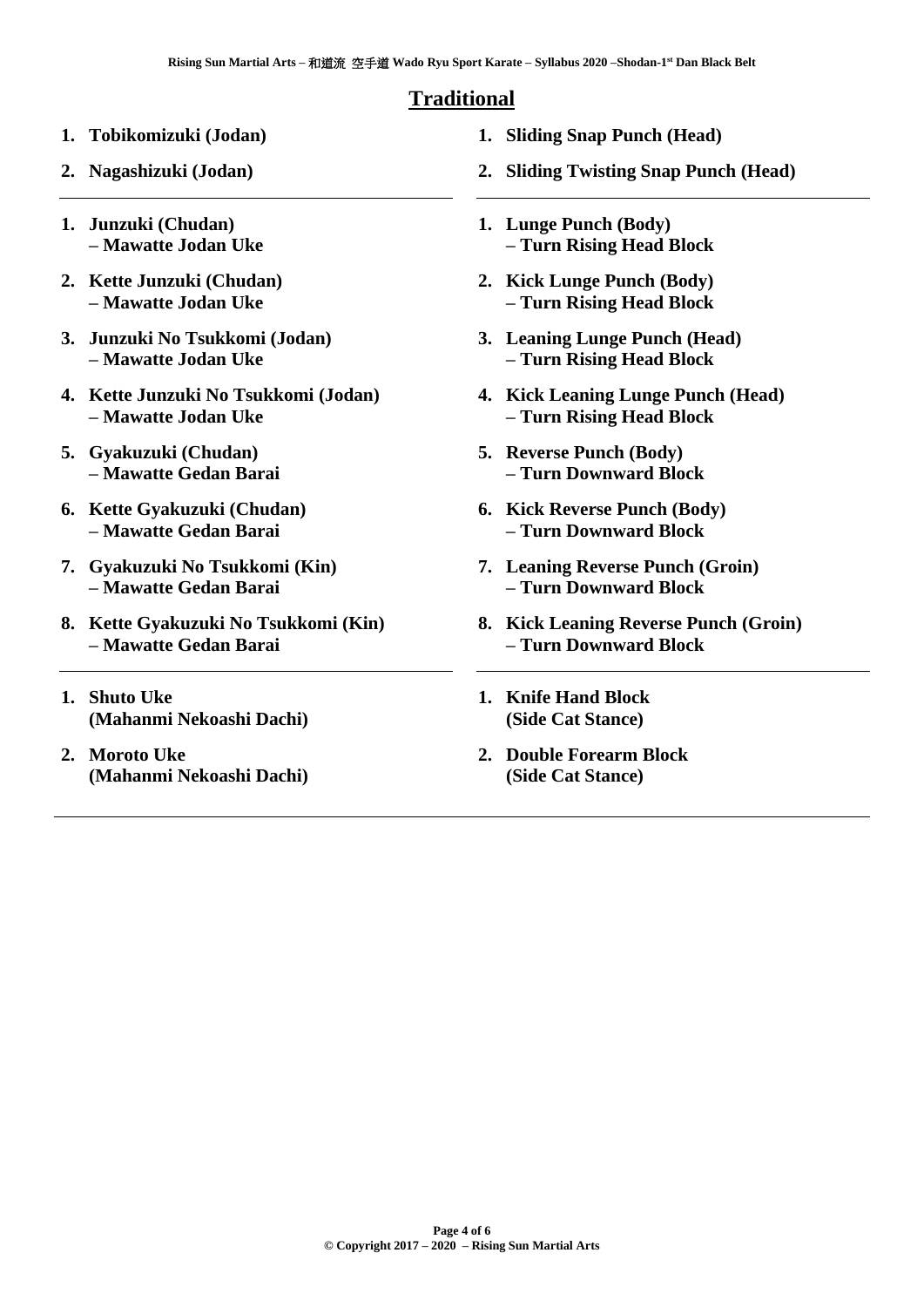# **Traditional**

- **1. Tobikomizuki (Jodan)**
- **2. Nagashizuki (Jodan)**
- **1. Junzuki (Chudan) – Mawatte Jodan Uke**
- **2. Kette Junzuki (Chudan) – Mawatte Jodan Uke**
- **3. Junzuki No Tsukkomi (Jodan) – Mawatte Jodan Uke**
- **4. Kette Junzuki No Tsukkomi (Jodan) – Mawatte Jodan Uke**
- **5. Gyakuzuki (Chudan) – Mawatte Gedan Barai**
- **6. Kette Gyakuzuki (Chudan) – Mawatte Gedan Barai**
- **7. Gyakuzuki No Tsukkomi (Kin) – Mawatte Gedan Barai**
- **8. Kette Gyakuzuki No Tsukkomi (Kin) – Mawatte Gedan Barai**
- **1. Shuto Uke (Mahanmi Nekoashi Dachi)**
- **2. Moroto Uke (Mahanmi Nekoashi Dachi)**
- **1. Sliding Snap Punch (Head)**
- **2. Sliding Twisting Snap Punch (Head)**
- **1. Lunge Punch (Body) – Turn Rising Head Block**
- **2. Kick Lunge Punch (Body) – Turn Rising Head Block**
- **3. Leaning Lunge Punch (Head) – Turn Rising Head Block**
- **4. Kick Leaning Lunge Punch (Head) – Turn Rising Head Block**
- **5. Reverse Punch (Body) – Turn Downward Block**
- **6. Kick Reverse Punch (Body) – Turn Downward Block**
- **7. Leaning Reverse Punch (Groin) – Turn Downward Block**
- **8. Kick Leaning Reverse Punch (Groin) – Turn Downward Block**
- **1. Knife Hand Block (Side Cat Stance)**
- **2. Double Forearm Block (Side Cat Stance)**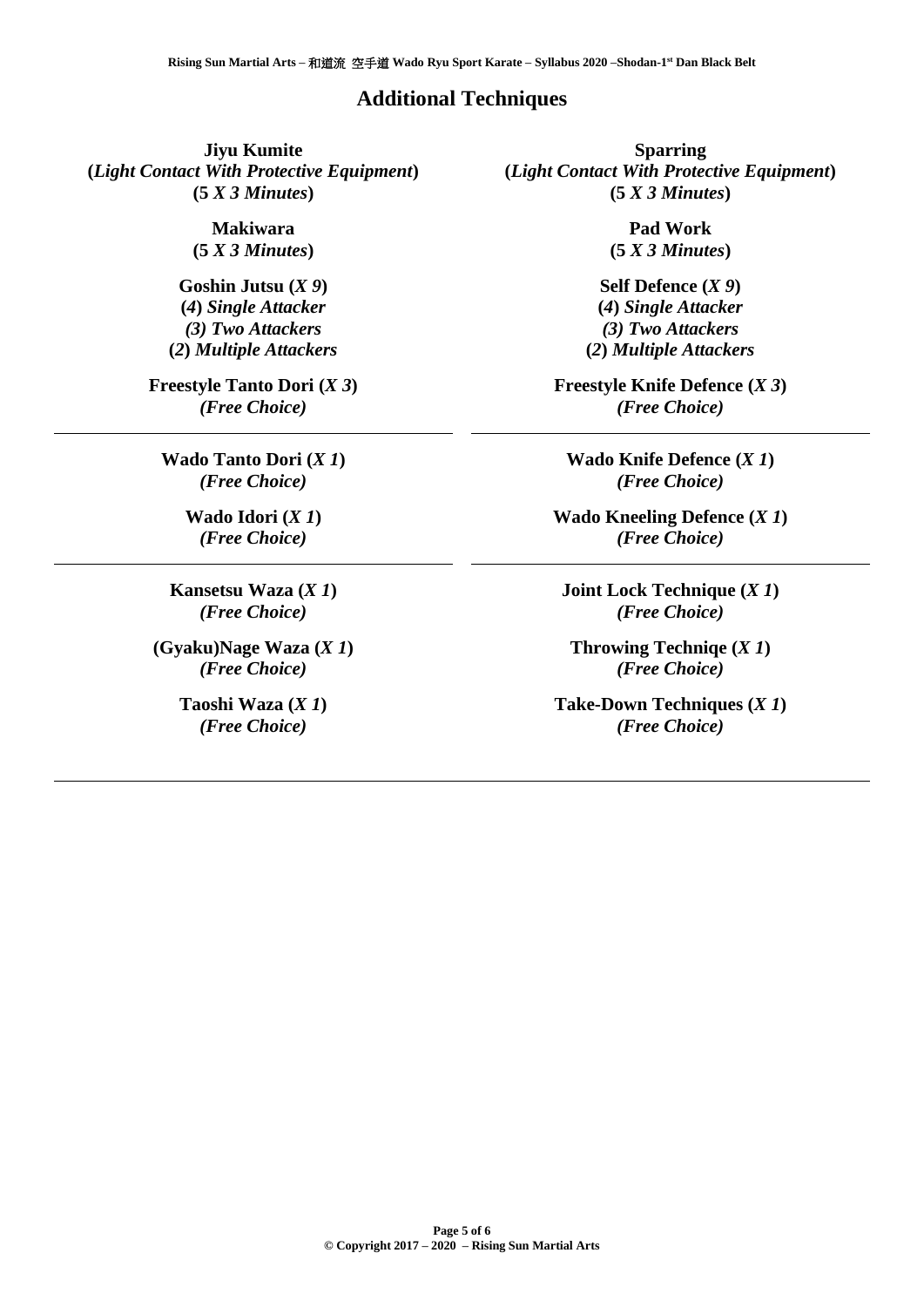#### **Additional Techniques**

**Jiyu Kumite (***Light Contact With Protective Equipment***) (5** *X 3 Minutes***)**

> **Makiwara (5** *X 3 Minutes***)**

**Goshin Jutsu (***X 9***) (***4***)** *Single Attacker (3) Two Attackers* **(***2***)** *Multiple Attackers*

**Freestyle Tanto Dori (***X 3***)** *(Free Choice)*

**Wado Tanto Dori (***X 1***)** *(Free Choice)*

> **Wado Idori (***X 1***)** *(Free Choice)*

**Kansetsu Waza (***X 1***)** *(Free Choice)*

**(Gyaku)Nage Waza (***X 1***)** *(Free Choice)*

> **Taoshi Waza (***X 1***)** *(Free Choice)*

**Sparring (***Light Contact With Protective Equipment***) (5** *X 3 Minutes***)** 

> **Pad Work (5** *X 3 Minutes***)**

**Self Defence (***X 9***) (***4***)** *Single Attacker (3) Two Attackers* **(***2***)** *Multiple Attackers*

**Freestyle Knife Defence (***X 3***)** *(Free Choice)*

**Wado Knife Defence (***X 1***)** *(Free Choice)*

**Wado Kneeling Defence (***X 1***)** *(Free Choice)*

**Joint Lock Technique (***X 1***)** *(Free Choice)*

**Throwing Techniqe (***X 1***)** *(Free Choice)*

**Take-Down Techniques (***X 1***)** *(Free Choice)*